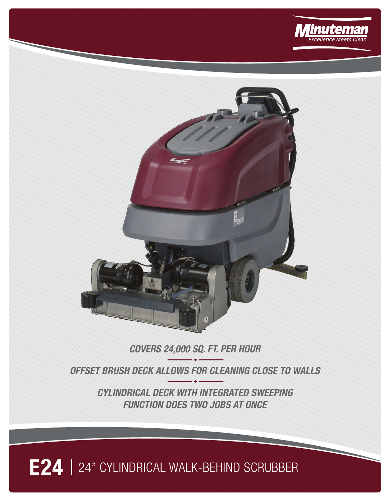



## **COVERS 24,000 SQ. FT. PER HOUR**

**OFFSET BRUSH DECK ALLOWS FOR CLEANING CLOSE TO WALLS**

**CYLINDRICAL DECK WITH INTEGRATED SWEEPING FUNCTION DOES TWO JOBS AT ONCE**

## **E24** | 24" CYLINDRICAL WALK-BEHIND SCRUBBER